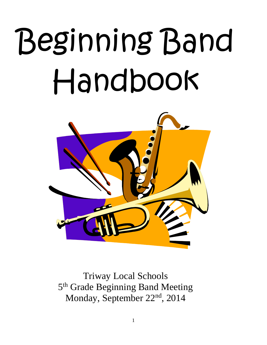# Beginning Band Handbook



Triway Local Schools 5<sup>th</sup> Grade Beginning Band Meeting Monday, September 22<sup>nd</sup>, 2014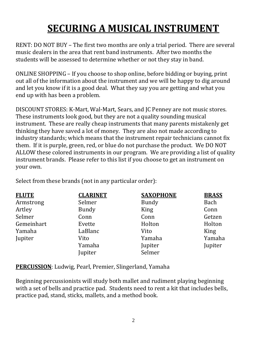# **SECURING A MUSICAL INSTRUMENT**

RENT: DO NOT BUY – The first two months are only a trial period. There are several music dealers in the area that rent band instruments. After two months the students will be assessed to determine whether or not they stay in band.

ONLINE SHOPPING – If you choose to shop online, before bidding or buying, print out all of the information about the instrument and we will be happy to dig around and let you know if it is a good deal. What they say you are getting and what you end up with has been a problem.

DISCOUNT STORES: K-Mart, Wal-Mart, Sears, and JC Penney are not music stores. These instruments look good, but they are not a quality sounding musical instrument. These are really cheap instruments that many parents mistakenly get thinking they have saved a lot of money. They are also not made according to industry standards; which means that the instrument repair technicians cannot fix them. If it is purple, green, red, or blue do not purchase the product. We DO NOT ALLOW these colored instruments in our program. We are providing a list of quality instrument brands. Please refer to this list if you choose to get an instrument on your own.

Select from these brands (not in any particular order):

| <b>FLUTE</b> | <b>CLARINET</b> | <b>SAXOPHONE</b> | <b>BRASS</b> |
|--------------|-----------------|------------------|--------------|
| Armstrong    | Selmer          | <b>Bundy</b>     | Bach         |
| Artley       | <b>Bundy</b>    | <b>King</b>      | Conn         |
| Selmer       | Conn            | Conn             | Getzen       |
| Gemeinhart   | Evette          | Holton           | Holton       |
| Yamaha       | LaBlanc         | Vito             | King         |
| Jupiter      | Vito            | Yamaha           | Yamaha       |
|              | Yamaha          | Jupiter          | Jupiter      |
|              | Jupiter         | Selmer           |              |

**PERCUSSION**: Ludwig, Pearl, Premier, Slingerland, Yamaha

Beginning percussionists will study both mallet and rudiment playing beginning with a set of bells and practice pad. Students need to rent a kit that includes bells, practice pad, stand, sticks, mallets, and a method book.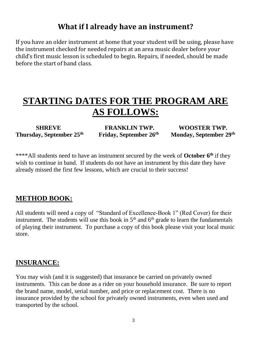#### **What if I already have an instrument?**

If you have an older instrument at home that your student will be using, please have the instrument checked for needed repairs at an area music dealer before your child's first music lesson is scheduled to begin. Repairs, if needed, should be made before the start of band class.

# **STARTING DATES FOR THE PROGRAM ARE AS FOLLOWS:**

**Thursday, September 25th**

 **SHREVE FRANKLIN TWP. WOOSTER TWP. Friday, September 26th**

 **Monday, September 29th**

\*\*\*\*All students need to have an instrument secured by the week of **October 6th** if they wish to continue in band. If students do not have an instrument by this date they have already missed the first few lessons, which are crucial to their success!

#### **METHOD BOOK:**

All students will need a copy of "Standard of Excellence-Book 1" (Red Cover) for their instrument. The students will use this book in  $5<sup>th</sup>$  and  $6<sup>th</sup>$  grade to learn the fundamentals of playing their instrument. To purchase a copy of this book please visit your local music store.

#### **INSURANCE:**

You may wish (and it is suggested) that insurance be carried on privately owned instruments. This can be done as a rider on your household insurance. Be sure to report the brand name, model, serial number, and price or replacement cost. There is no insurance provided by the school for privately owned instruments, even when used and transported by the school.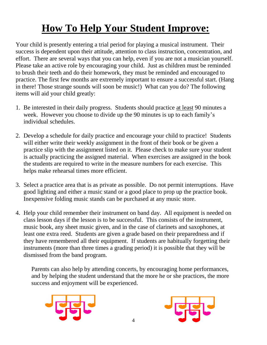# **How To Help Your Student Improve:**

Your child is presently entering a trial period for playing a musical instrument. Their success is dependent upon their attitude, attention to class instruction, concentration, and effort. There are several ways that you can help, even if you are not a musician yourself. Please take an active role by encouraging your child. Just as children must be reminded to brush their teeth and do their homework, they must be reminded and encouraged to practice. The first few months are extremely important to ensure a successful start. (Hang in there! Those strange sounds will soon be music!) What can you do? The following items will aid your child greatly:

- 1. Be interested in their daily progress. Students should practice at least 90 minutes a week. However you choose to divide up the 90 minutes is up to each family's individual schedules.
- 2. Develop a schedule for daily practice and encourage your child to practice! Students will either write their weekly assignment in the front of their book or be given a practice slip with the assignment listed on it. Please check to make sure your student is actually practicing the assigned material. When exercises are assigned in the book the students are required to write in the measure numbers for each exercise. This helps make rehearsal times more efficient.
- 3. Select a practice area that is as private as possible. Do not permit interruptions. Have good lighting and either a music stand or a good place to prop up the practice book. Inexpensive folding music stands can be purchased at any music store.
- 4. Help your child remember their instrument on band day. All equipment is needed on class lesson days if the lesson is to be successful. This consists of the instrument, music book, any sheet music given, and in the case of clarinets and saxophones, at least one extra reed. Students are given a grade based on their preparedness and if they have remembered all their equipment. If students are habitually forgetting their instruments (more than three times a grading period) it is possible that they will be dismissed from the band program.

Parents can also help by attending concerts, by encouraging home performances, and by helping the student understand that the more he or she practices, the more success and enjoyment will be experienced.



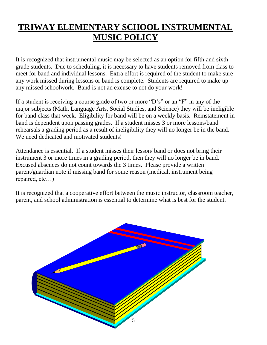## **TRIWAY ELEMENTARY SCHOOL INSTRUMENTAL MUSIC POLICY**

It is recognized that instrumental music may be selected as an option for fifth and sixth grade students. Due to scheduling, it is necessary to have students removed from class to meet for band and individual lessons. Extra effort is required of the student to make sure any work missed during lessons or band is complete. Students are required to make up any missed schoolwork. Band is not an excuse to not do your work!

If a student is receiving a course grade of two or more "D's" or an "F" in any of the major subjects (Math, Language Arts, Social Studies, and Science) they will be ineligible for band class that week. Eligibility for band will be on a weekly basis. Reinstatement in band is dependent upon passing grades. If a student misses 3 or more lessons/band rehearsals a grading period as a result of ineligibility they will no longer be in the band. We need dedicated and motivated students!

Attendance is essential. If a student misses their lesson/ band or does not bring their instrument 3 or more times in a grading period, then they will no longer be in band. Excused absences do not count towards the 3 times. Please provide a written parent/guardian note if missing band for some reason (medical, instrument being repaired, etc…)

It is recognized that a cooperative effort between the music instructor, classroom teacher, parent, and school administration is essential to determine what is best for the student.

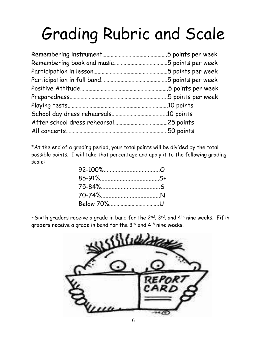# Grading Rubric and Scale

| .5 points per week |
|--------------------|
|                    |
| 5 points per week  |
|                    |
|                    |
|                    |
|                    |
| .10 points         |
|                    |
|                    |

\*At the end of a grading period, your total points will be divided by the total possible points. I will take that percentage and apply it to the following grading scale:

 $\sim$ Sixth graders receive a grade in band for the 2<sup>nd</sup>, 3<sup>rd</sup>, and 4<sup>th</sup> nine weeks. Fifth graders receive a grade in band for the 3<sup>rd</sup> and 4<sup>th</sup> nine weeks.

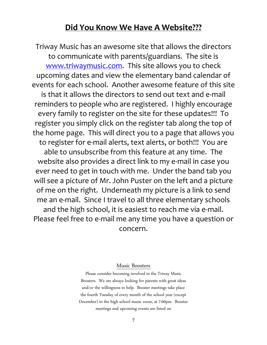#### **Did You Know We Have A Website???**

Triway Music has an awesome site that allows the directors to communicate with parents/guardians. The site is [www.triwaymusic.com.](http://www.triwaymusic.com/) This site allows you to check upcoming dates and view the elementary band calendar of events for each school. Another awesome feature of this site is that it allows the directors to send out text and e-mail reminders to people who are registered. I highly encourage every family to register on the site for these updates!!! To register you simply click on the register tab along the top of the home page. This will direct you to a page that allows you to register for e-mail alerts, text alerts, or both!!! You are able to unsubscribe from this feature at any time. The website also provides a direct link to my e-mail in case you ever need to get in touch with me. Under the band tab you will see a picture of Mr. John Puster on the left and a picture of me on the right. Underneath my picture is a link to send me an e-mail. Since I travel to all three elementary schools and the high school, it is easiest to reach me via e-mail. Please feel free to e-mail me any time you have a question or concern.

#### Music Boosters

Please consider becoming involved in the Triway Music Boosters. We are always looking for parents with great ideas and/or the willingness to help. Booster meetings take place the fourth Tuesday of every month of the school year (except December) in the high school music room, at 7:00pm. Booster meetings and upcoming events are listed on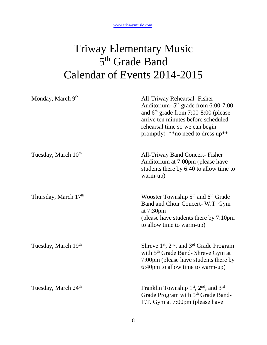# Triway Elementary Music 5<sup>th</sup> Grade Band Calendar of Events 2014-2015

| Monday, March 9th               | All-Triway Rehearsal-Fisher<br>Auditorium- $5th$ grade from 6:00-7:00<br>and $6th$ grade from 7:00-8:00 (please<br>arrive ten minutes before scheduled<br>rehearsal time so we can begin<br>promptly) $**$ no need to dress up** |
|---------------------------------|----------------------------------------------------------------------------------------------------------------------------------------------------------------------------------------------------------------------------------|
| Tuesday, March 10th             | <b>All-Triway Band Concert- Fisher</b><br>Auditorium at 7:00pm (please have<br>students there by 6:40 to allow time to<br>warm-up)                                                                                               |
| Thursday, March 17th            | Wooster Township 5 <sup>th</sup> and 6 <sup>th</sup> Grade<br>Band and Choir Concert-W.T. Gym<br>at 7:30pm<br>(please have students there by 7:10pm<br>to allow time to warm-up)                                                 |
| Tuesday, March 19th             | Shreve 1 <sup>st</sup> , 2 <sup>nd</sup> , and 3 <sup>rd</sup> Grade Program<br>with 5 <sup>th</sup> Grade Band- Shreve Gym at<br>7:00pm (please have students there by<br>6:40pm to allow time to warm-up)                      |
| Tuesday, March 24 <sup>th</sup> | Franklin Township 1st, 2nd, and 3rd<br>Grade Program with 5 <sup>th</sup> Grade Band-<br>F.T. Gym at 7:00pm (please have                                                                                                         |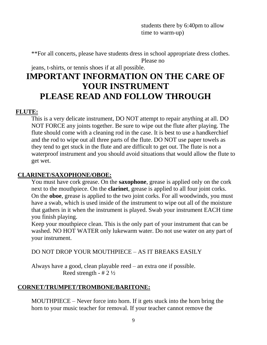students there by 6:40pm to allow time to warm-up)

\*\*For all concerts, please have students dress in school appropriate dress clothes. Please no

jeans, t-shirts, or tennis shoes if at all possible.

### **IMPORTANT INFORMATION ON THE CARE OF YOUR INSTRUMENT PLEASE READ AND FOLLOW THROUGH**

#### **FLUTE:**

This is a very delicate instrument, DO NOT attempt to repair anything at all. DO NOT FORCE any joints together. Be sure to wipe out the flute after playing. The flute should come with a cleaning rod in the case. It is best to use a handkerchief and the rod to wipe out all three parts of the flute. DO NOT use paper towels as they tend to get stuck in the flute and are difficult to get out. The flute is not a waterproof instrument and you should avoid situations that would allow the flute to get wet.

#### **CLARINET/SAXOPHONE/OBOE:**

You must have cork grease. On the **saxophone**, grease is applied only on the cork next to the mouthpiece. On the **clarinet**, grease is applied to all four joint corks. On the **oboe**, grease is applied to the two joint corks. For all woodwinds, you must have a swab, which is used inside of the instrument to wipe out all of the moisture that gathers in it when the instrument is played. Swab your instrument EACH time you finish playing.

Keep your mouthpiece clean. This is the only part of your instrument that can be washed. NO HOT WATER only lukewarm water. Do not use water on any part of your instrument.

DO NOT DROP YOUR MOUTHPIECE – AS IT BREAKS EASILY

Always have a good, clean playable reed – an extra one if possible. Reed strength -  $# 2 \frac{1}{2}$ 

#### **CORNET/TRUMPET/TROMBONE/BARITONE:**

MOUTHPIECE – Never force into horn. If it gets stuck into the horn bring the horn to your music teacher for removal. If your teacher cannot remove the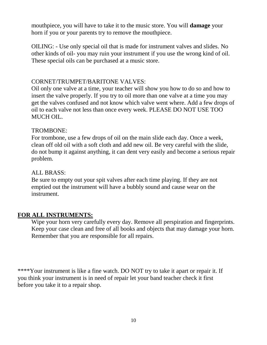mouthpiece, you will have to take it to the music store. You will **damage** your horn if you or your parents try to remove the mouthpiece.

OILING: - Use only special oil that is made for instrument valves and slides. No other kinds of oil- you may ruin your instrument if you use the wrong kind of oil. These special oils can be purchased at a music store.

#### CORNET/TRUMPET/BARITONE VALVES:

Oil only one valve at a time, your teacher will show you how to do so and how to insert the valve properly. If you try to oil more than one valve at a time you may get the valves confused and not know which valve went where. Add a few drops of oil to each valve not less than once every week. PLEASE DO NOT USE TOO MUCH OIL.

#### TROMBONE:

For trombone, use a few drops of oil on the main slide each day. Once a week, clean off old oil with a soft cloth and add new oil. Be very careful with the slide, do not bump it against anything, it can dent very easily and become a serious repair problem.

#### ALL BRASS:

Be sure to empty out your spit valves after each time playing. If they are not emptied out the instrument will have a bubbly sound and cause wear on the instrument.

#### **FOR ALL INSTRUMENTS:**

Wipe your horn very carefully every day. Remove all perspiration and fingerprints. Keep your case clean and free of all books and objects that may damage your horn. Remember that you are responsible for all repairs.

\*\*\*\*Your instrument is like a fine watch. DO NOT try to take it apart or repair it. If you think your instrument is in need of repair let your band teacher check it first before you take it to a repair shop.